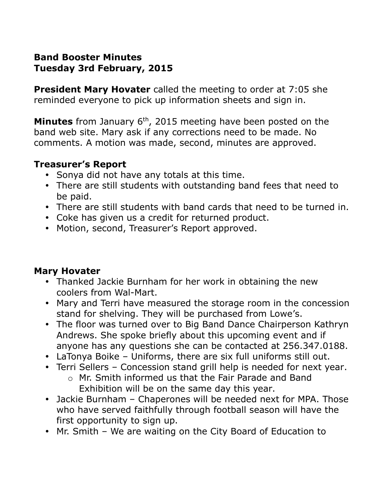### **Band Booster Minutes Tuesday 3rd February, 2015**

**President Mary Hovater** called the meeting to order at 7:05 she reminded everyone to pick up information sheets and sign in.

Minutes from January 6<sup>th</sup>, 2015 meeting have been posted on the band web site. Mary ask if any corrections need to be made. No comments. A motion was made, second, minutes are approved.

#### **Treasurer's Report**

- Sonya did not have any totals at this time.
- There are still students with outstanding band fees that need to be paid.
- There are still students with band cards that need to be turned in.
- Coke has given us a credit for returned product.
- Motion, second, Treasurer's Report approved.

#### **Mary Hovater**

- Thanked Jackie Burnham for her work in obtaining the new coolers from Wal-Mart.
- Mary and Terri have measured the storage room in the concession stand for shelving. They will be purchased from Lowe's.
- The floor was turned over to Big Band Dance Chairperson Kathryn Andrews. She spoke briefly about this upcoming event and if anyone has any questions she can be contacted at 256.347.0188.
- LaTonya Boike Uniforms, there are six full uniforms still out.
- Terri Sellers Concession stand grill help is needed for next year.
	- o Mr. Smith informed us that the Fair Parade and Band Exhibition will be on the same day this year.
- Jackie Burnham Chaperones will be needed next for MPA. Those who have served faithfully through football season will have the first opportunity to sign up.
- Mr. Smith We are waiting on the City Board of Education to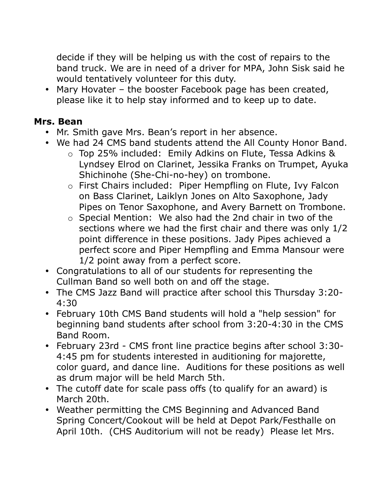decide if they will be helping us with the cost of repairs to the band truck. We are in need of a driver for MPA, John Sisk said he would tentatively volunteer for this duty.

• Mary Hovater – the booster Facebook page has been created, please like it to help stay informed and to keep up to date.

## **Mrs. Bean**

- Mr. Smith gave Mrs. Bean's report in her absence.
- We had 24 CMS band students attend the All County Honor Band.
	- o Top 25% included: Emily Adkins on Flute, Tessa Adkins & Lyndsey Elrod on Clarinet, Jessika Franks on Trumpet, Ayuka Shichinohe (She-Chi-no-hey) on trombone.
	- o First Chairs included: Piper Hempfling on Flute, Ivy Falcon on Bass Clarinet, Laiklyn Jones on Alto Saxophone, Jady Pipes on Tenor Saxophone, and Avery Barnett on Trombone.
	- o Special Mention: We also had the 2nd chair in two of the sections where we had the first chair and there was only 1/2 point difference in these positions. Jady Pipes achieved a perfect score and Piper Hempfling and Emma Mansour were 1/2 point away from a perfect score.
- Congratulations to all of our students for representing the Cullman Band so well both on and off the stage.
- The CMS Jazz Band will practice after school this Thursday 3:20- 4:30
- February 10th CMS Band students will hold a "help session" for beginning band students after school from 3:20-4:30 in the CMS Band Room.
- February 23rd CMS front line practice begins after school 3:30- 4:45 pm for students interested in auditioning for majorette, color guard, and dance line. Auditions for these positions as well as drum major will be held March 5th.
- The cutoff date for scale pass offs (to qualify for an award) is March 20th.
- Weather permitting the CMS Beginning and Advanced Band Spring Concert/Cookout will be held at Depot Park/Festhalle on April 10th. (CHS Auditorium will not be ready) Please let Mrs.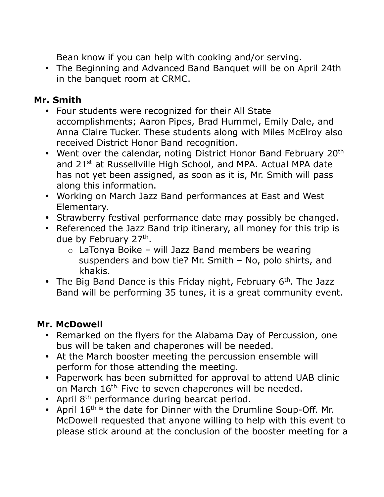Bean know if you can help with cooking and/or serving.

 The Beginning and Advanced Band Banquet will be on April 24th in the banquet room at CRMC.

# **Mr. Smith**

- Four students were recognized for their All State accomplishments; Aaron Pipes, Brad Hummel, Emily Dale, and Anna Claire Tucker. These students along with Miles McElroy also received District Honor Band recognition.
- Went over the calendar, noting District Honor Band February 20<sup>th</sup> and 21<sup>st</sup> at Russellville High School, and MPA. Actual MPA date has not yet been assigned, as soon as it is, Mr. Smith will pass along this information.
- Working on March Jazz Band performances at East and West Elementary.
- Strawberry festival performance date may possibly be changed.
- Referenced the Jazz Band trip itinerary, all money for this trip is due by February 27<sup>th</sup>.
	- $\circ$  LaTonya Boike will Jazz Band members be wearing suspenders and bow tie? Mr. Smith – No, polo shirts, and khakis.
- The Big Band Dance is this Friday night, February  $6<sup>th</sup>$ . The Jazz Band will be performing 35 tunes, it is a great community event.

## **Mr. McDowell**

- Remarked on the flyers for the Alabama Day of Percussion, one bus will be taken and chaperones will be needed.
- At the March booster meeting the percussion ensemble will perform for those attending the meeting.
- Paperwork has been submitted for approval to attend UAB clinic on March 16<sup>th.</sup> Five to seven chaperones will be needed.
- April  $8<sup>th</sup>$  performance during bearcat period.
- April  $16<sup>th is</sup>$  the date for Dinner with the Drumline Soup-Off. Mr. McDowell requested that anyone willing to help with this event to please stick around at the conclusion of the booster meeting for a